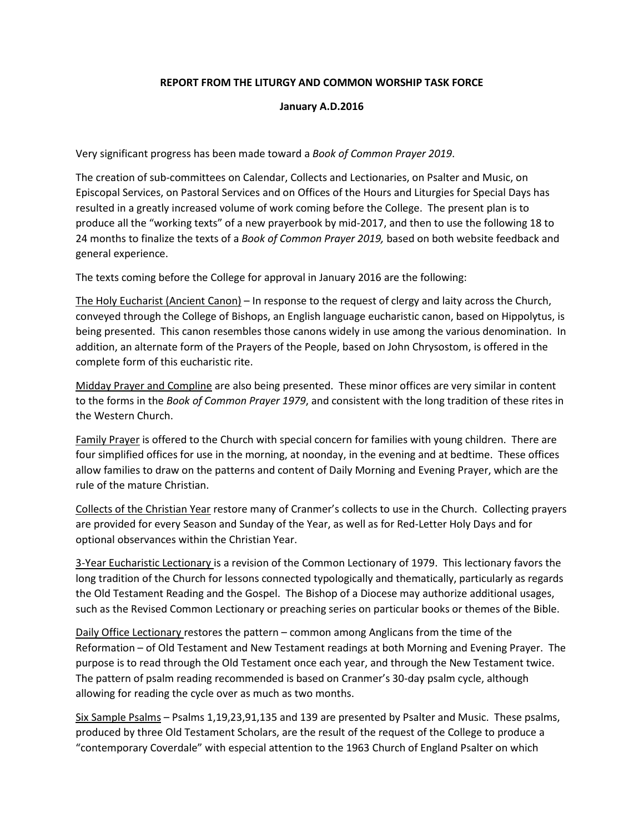## **REPORT FROM THE LITURGY AND COMMON WORSHIP TASK FORCE**

## **January A.D.2016**

Very significant progress has been made toward a *Book of Common Prayer 2019*.

The creation of sub-committees on Calendar, Collects and Lectionaries, on Psalter and Music, on Episcopal Services, on Pastoral Services and on Offices of the Hours and Liturgies for Special Days has resulted in a greatly increased volume of work coming before the College. The present plan is to produce all the "working texts" of a new prayerbook by mid-2017, and then to use the following 18 to 24 months to finalize the texts of a *Book of Common Prayer 2019,* based on both website feedback and general experience.

The texts coming before the College for approval in January 2016 are the following:

The Holy Eucharist (Ancient Canon) – In response to the request of clergy and laity across the Church, conveyed through the College of Bishops, an English language eucharistic canon, based on Hippolytus, is being presented. This canon resembles those canons widely in use among the various denomination. In addition, an alternate form of the Prayers of the People, based on John Chrysostom, is offered in the complete form of this eucharistic rite.

Midday Prayer and Compline are also being presented. These minor offices are very similar in content to the forms in the *Book of Common Prayer 1979*, and consistent with the long tradition of these rites in the Western Church.

Family Prayer is offered to the Church with special concern for families with young children. There are four simplified offices for use in the morning, at noonday, in the evening and at bedtime. These offices allow families to draw on the patterns and content of Daily Morning and Evening Prayer, which are the rule of the mature Christian.

Collects of the Christian Year restore many of Cranmer's collects to use in the Church. Collecting prayers are provided for every Season and Sunday of the Year, as well as for Red-Letter Holy Days and for optional observances within the Christian Year.

3-Year Eucharistic Lectionary is a revision of the Common Lectionary of 1979. This lectionary favors the long tradition of the Church for lessons connected typologically and thematically, particularly as regards the Old Testament Reading and the Gospel. The Bishop of a Diocese may authorize additional usages, such as the Revised Common Lectionary or preaching series on particular books or themes of the Bible.

Daily Office Lectionary restores the pattern – common among Anglicans from the time of the Reformation – of Old Testament and New Testament readings at both Morning and Evening Prayer. The purpose is to read through the Old Testament once each year, and through the New Testament twice. The pattern of psalm reading recommended is based on Cranmer's 30-day psalm cycle, although allowing for reading the cycle over as much as two months.

Six Sample Psalms – Psalms 1,19,23,91,135 and 139 are presented by Psalter and Music. These psalms, produced by three Old Testament Scholars, are the result of the request of the College to produce a "contemporary Coverdale" with especial attention to the 1963 Church of England Psalter on which